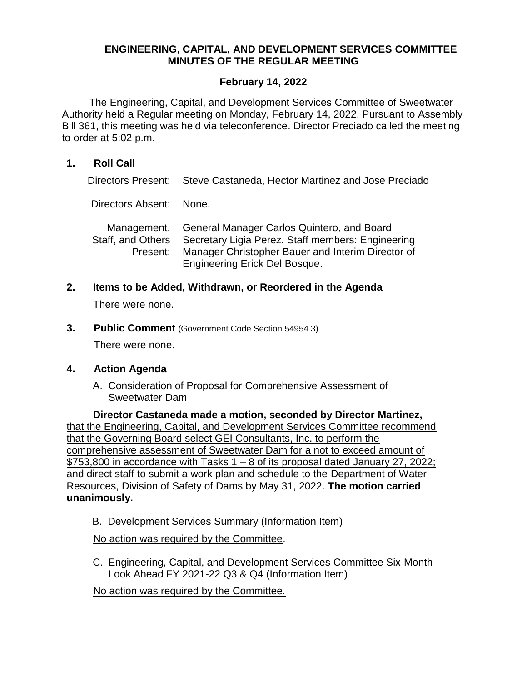# **ENGINEERING, CAPITAL, AND DEVELOPMENT SERVICES COMMITTEE MINUTES OF THE REGULAR MEETING**

### **February 14, 2022**

The Engineering, Capital, and Development Services Committee of Sweetwater Authority held a Regular meeting on Monday, February 14, 2022. Pursuant to Assembly Bill 361, this meeting was held via teleconference. Director Preciado called the meeting to order at 5:02 p.m.

#### **1. Roll Call**

Directors Present: Steve Castaneda, Hector Martinez and Jose Preciado

Directors Absent: None.

|          | Management, General Manager Carlos Quintero, and Board              |
|----------|---------------------------------------------------------------------|
|          | Staff, and Others Secretary Ligia Perez. Staff members: Engineering |
| Present: | Manager Christopher Bauer and Interim Director of                   |
|          | Engineering Erick Del Bosque.                                       |

#### **2. Items to be Added, Withdrawn, or Reordered in the Agenda**

There were none.

**3. Public Comment** (Government Code Section 54954.3)

There were none.

#### **4. Action Agenda**

A. Consideration of Proposal for Comprehensive Assessment of Sweetwater Dam

**Director Castaneda made a motion, seconded by Director Martinez,**  that the Engineering, Capital, and Development Services Committee recommend that the Governing Board select GEI Consultants, Inc. to perform the comprehensive assessment of Sweetwater Dam for a not to exceed amount of \$753,800 in accordance with Tasks 1 – 8 of its proposal dated January 27, 2022; and direct staff to submit a work plan and schedule to the Department of Water Resources, Division of Safety of Dams by May 31, 2022. **The motion carried unanimously.**

B. Development Services Summary (Information Item)

No action was required by the Committee.

C. Engineering, Capital, and Development Services Committee Six-Month Look Ahead FY 2021-22 Q3 & Q4 (Information Item)

No action was required by the Committee.